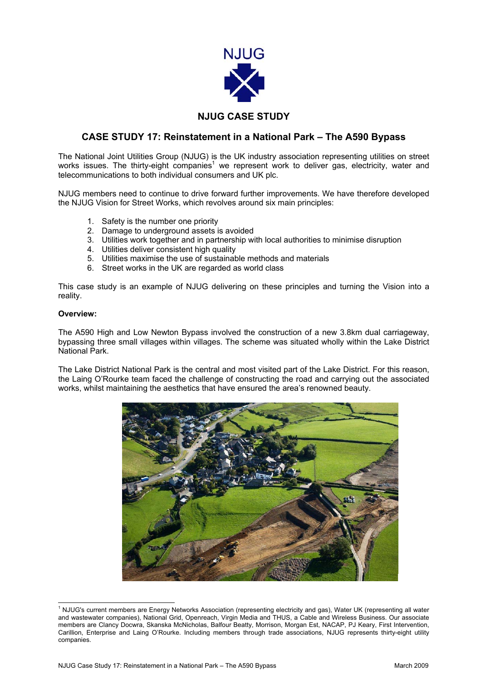

## **NJUG CASE STUDY**

## **CASE STUDY 17: Reinstatement in a National Park – The A590 Bypass**

The National Joint Utilities Group (NJUG) is the UK industry association representing utilities on street works issues. The thirty-eight companies<sup>[1](#page-0-0)</sup> we represent work to deliver gas, electricity, water and telecommunications to both individual consumers and UK plc.

NJUG members need to continue to drive forward further improvements. We have therefore developed the NJUG Vision for Street Works, which revolves around six main principles:

- 1. Safety is the number one priority
- 2. Damage to underground assets is avoided
- 3. Utilities work together and in partnership with local authorities to minimise disruption
- 4. Utilities deliver consistent high quality
- 5. Utilities maximise the use of sustainable methods and materials
- 6. Street works in the UK are regarded as world class

This case study is an example of NJUG delivering on these principles and turning the Vision into a reality.

### **Overview:**

The A590 High and Low Newton Bypass involved the construction of a new 3.8km dual carriageway, bypassing three small villages within villages. The scheme was situated wholly within the Lake District National Park.

The Lake District National Park is the central and most visited part of the Lake District. For this reason, the Laing O'Rourke team faced the challenge of constructing the road and carrying out the associated works, whilst maintaining the aesthetics that have ensured the area's renowned beauty.

<span id="page-0-0"></span>

 $\frac{1}{1}$ <sup>1</sup> NJUG's current members are Energy Networks Association (representing electricity and gas), Water UK (representing all water and wastewater companies), National Grid, Openreach, Virgin Media and THUS, a Cable and Wireless Business. Our associate members are Clancy Docwra, Skanska McNicholas, Balfour Beatty, Morrison, Morgan Est, NACAP, PJ Keary, First Intervention, Carillion, Enterprise and Laing O'Rourke. Including members through trade associations, NJUG represents thirty-eight utility companies.